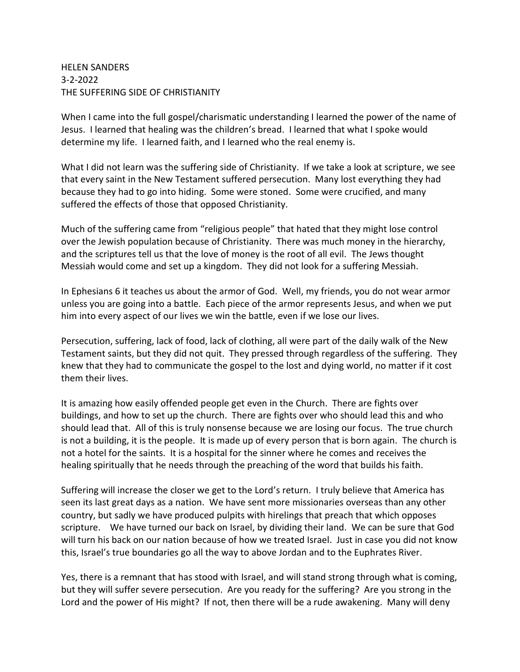## HELEN SANDERS 3-2-2022 THE SUFFERING SIDE OF CHRISTIANITY

When I came into the full gospel/charismatic understanding I learned the power of the name of Jesus. I learned that healing was the children's bread. I learned that what I spoke would determine my life. I learned faith, and I learned who the real enemy is.

What I did not learn was the suffering side of Christianity. If we take a look at scripture, we see that every saint in the New Testament suffered persecution. Many lost everything they had because they had to go into hiding. Some were stoned. Some were crucified, and many suffered the effects of those that opposed Christianity.

Much of the suffering came from "religious people" that hated that they might lose control over the Jewish population because of Christianity. There was much money in the hierarchy, and the scriptures tell us that the love of money is the root of all evil. The Jews thought Messiah would come and set up a kingdom. They did not look for a suffering Messiah.

In Ephesians 6 it teaches us about the armor of God. Well, my friends, you do not wear armor unless you are going into a battle. Each piece of the armor represents Jesus, and when we put him into every aspect of our lives we win the battle, even if we lose our lives.

Persecution, suffering, lack of food, lack of clothing, all were part of the daily walk of the New Testament saints, but they did not quit. They pressed through regardless of the suffering. They knew that they had to communicate the gospel to the lost and dying world, no matter if it cost them their lives.

It is amazing how easily offended people get even in the Church. There are fights over buildings, and how to set up the church. There are fights over who should lead this and who should lead that. All of this is truly nonsense because we are losing our focus. The true church is not a building, it is the people. It is made up of every person that is born again. The church is not a hotel for the saints. It is a hospital for the sinner where he comes and receives the healing spiritually that he needs through the preaching of the word that builds his faith.

Suffering will increase the closer we get to the Lord's return. I truly believe that America has seen its last great days as a nation. We have sent more missionaries overseas than any other country, but sadly we have produced pulpits with hirelings that preach that which opposes scripture. We have turned our back on Israel, by dividing their land. We can be sure that God will turn his back on our nation because of how we treated Israel. Just in case you did not know this, Israel's true boundaries go all the way to above Jordan and to the Euphrates River.

Yes, there is a remnant that has stood with Israel, and will stand strong through what is coming, but they will suffer severe persecution. Are you ready for the suffering? Are you strong in the Lord and the power of His might? If not, then there will be a rude awakening. Many will deny